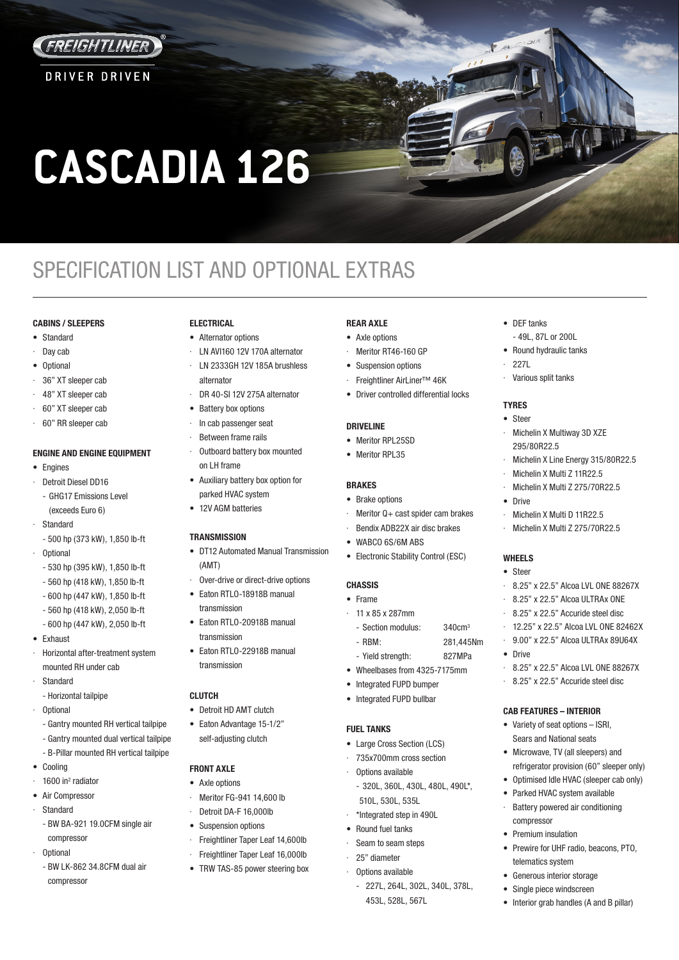

**DRIVER DRIVEN** 

# **CASCADIA 126**

# SPECIFICATION LIST AND OPTIONAL EXTRAS

# **CABINS / SLEEPERS**

- Standard
- Day cab
- Optional
- 36" XT sleeper cab
- · 48" XT sleeper cab
- · 60" XT sleeper cab
- · 60" RR sleeper cab

# **ENGINE AND ENGINE EQUIPMENT**

- Engines
- · Detroit Diesel DD16
- GHG17 Emissions Level (exceeds Euro 6)
- **Standard** - 500 hp (373 kW), 1,850 lb-ft
- · Optional
- 530 hp (395 kW), 1,850 lb-ft
- 560 hp (418 kW), 1,850 lb-ft
- 600 hp (447 kW), 1,850 lb-ft
- 560 hp (418 kW), 2,050 lb-ft
- 600 hp (447 kW), 2,050 lb-ft
- Exhaust
- · Horizontal after-treatment system mounted RH under cab
- **Standard**
- Horizontal tailpipe
- · Optional
	- Gantry mounted RH vertical tailpipe
	- Gantry mounted dual vertical tailpipe
	- B-Pillar mounted RH vertical tailpipe
- Cooling
- $\cdot$  1600 in<sup>2</sup> radiator
- Air Compressor
- · Standard
	- BW BA-921 19.0CFM single air compressor
- · Optional
	- BW LK-862 34.8CFM dual air compressor

# **ELECTRICAL**

- Alternator options
	- LN AVI160 12V 170A alternator
- · LN 2333GH 12V 185A brushless alternator
- DR 40-SI 12V 275A alternator
- Battery box options
- · In cab passenger seat
- Between frame rails
	- Outboard battery box mounted on LH frame
- Auxiliary battery box option for parked HVAC system
- 12V AGM batteries

# **TRANSMISSION**

- DT12 Automated Manual Transmission (AMT)
- Over-drive or direct-drive options
- Eaton RTLO-18918B manual transmission
- Faton RTLO-20918B manual transmission
- Faton RTI 0-22918B manual transmission

# **CLUTCH**

- Detroit HD AMT clutch
- Eaton Advantage 15-1/2" self-adjusting clutch

# **FRONT AXLE**

- Axle options
- · Meritor FG-941 14,600 lb
- Detroit DA-F 16,000lb
- Suspension options
- Freightliner Taper Leaf 14,600lb
- Freightliner Taper Leaf 16,000lb
- TRW TAS-85 power steering box

# **REAR AXLE**

- Axle options Meritor RT46-160 GP
- Suspension options
- Freightliner AirLiner™ 46K
- Driver controlled differential locks

# **DRIVELINE**

- Meritor RPL25SD
- Meritor RPL35

# **BRAKES**

# • Brake options

- Meritor  $Q + \text{cast spider cam brakes}$
- Bendix ADB22X air disc brakes
- WABCO 6S/6M ABS • Electronic Stability Control (ESC)

# **CHASSIS**

- Frame
	- · 11 x 85 x 287mm
		- Section modulus: 340cm<sup>3</sup>
		- RBM: 281,445Nm
		- Yield strength: 827MPa
	- Wheelbases from 4325-7175mm
	- Integrated FUPD bumper
	- Integrated FUPD bullbar

# **FUEL TANKS**

- Large Cross Section (LCS)
- · 735x700mm cross section
- · Options available
- 320L, 360L, 430L, 480L, 490L\*, 510L, 530L, 535L
- · \*Integrated step in 490L
- Round fuel tanks
- Seam to seam steps
- · 25" diameter
- · Options available
	- 227L, 264L, 302L, 340L, 378L, 453L, 528L, 567L

• DEF tanks

· 227L

**TYRES** • Steer

- 49L, 87L or 200L • Round hydraulic tanks

· Various split tanks

295/80R22.5

• Drive

**WHEELS** • Steer

• Drive

Michelin X Multiway 3D XZE

Michelin X Multi D 11R22.5 Michelin X Multi Z 275/70R22.5

Michelin X Line Energy 315/80R22.5 · Michelin X Multi Z 11R22.5 Michelin X Multi Z 275/70R22.5

· 8.25" x 22.5" Alcoa LVL ONE 88267X · 8.25" x 22.5" Alcoa ULTRAx ONE 8.25" x 22.5" Accuride steel disc · 12.25" x 22.5" Alcoa LVL ONE 82462X · 9.00" x 22.5" Alcoa ULTRAx 89U64X

· 8.25" x 22.5" Alcoa LVL ONE 88267X 8.25" x 22.5" Accuride steel disc

• Prewire for UHF radio, beacons, PTO,

**CAB FEATURES – INTERIOR** • Variety of seat options – ISRI, Sears and National seats • Microwave, TV (all sleepers) and refrigerator provision (60" sleeper only) • Optimised Idle HVAC (sleeper cab only) Parked HVAC system available Battery powered air conditioning

compressor • Premium insulation

telematics system Generous interior storage Single piece windscreen • Interior grab handles (A and B pillar)